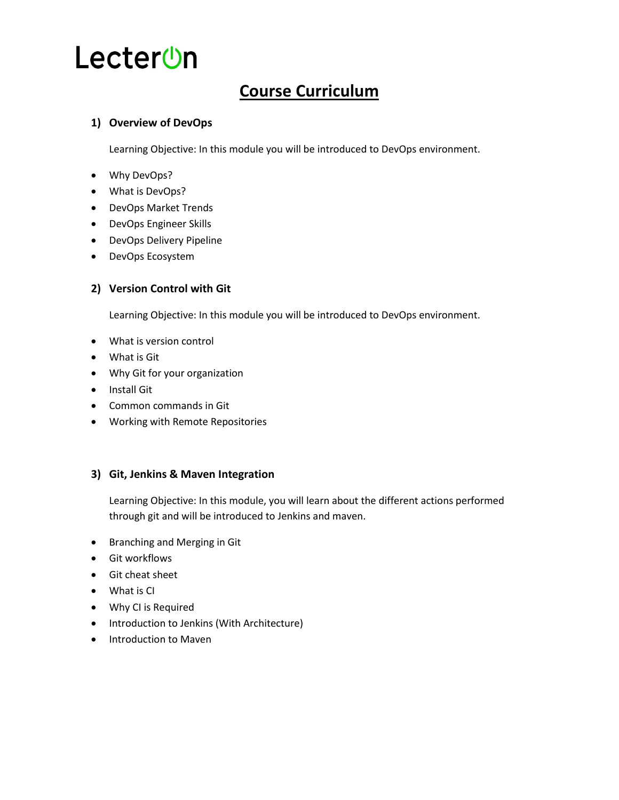### **Course Curriculum**

#### **1) Overview of DevOps**

Learning Objective: In this module you will be introduced to DevOps environment.

- Why DevOps?
- What is DevOps?
- DevOps Market Trends
- DevOps Engineer Skills
- DevOps Delivery Pipeline
- DevOps Ecosystem

#### **2) Version Control with Git**

Learning Objective: In this module you will be introduced to DevOps environment.

- What is version control
- What is Git
- Why Git for your organization
- Install Git
- Common commands in Git
- Working with Remote Repositories

#### **3) Git, Jenkins & Maven Integration**

Learning Objective: In this module, you will learn about the different actions performed through git and will be introduced to Jenkins and maven.

- **•** Branching and Merging in Git
- **•** Git workflows
- Git cheat sheet
- What is CI
- Why CI is Required
- Introduction to Jenkins (With Architecture)
- Introduction to Maven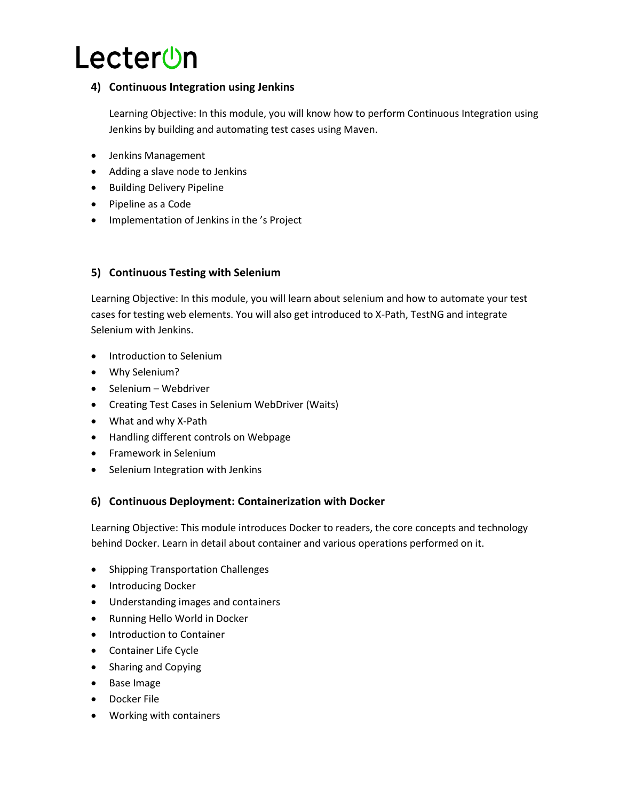#### **4) Continuous Integration using Jenkins**

Learning Objective: In this module, you will know how to perform Continuous Integration using Jenkins by building and automating test cases using Maven.

- Jenkins Management
- Adding a slave node to Jenkins
- **•** Building Delivery Pipeline
- Pipeline as a Code
- Implementation of Jenkins in the 's Project

#### **5) Continuous Testing with Selenium**

Learning Objective: In this module, you will learn about selenium and how to automate your test cases for testing web elements. You will also get introduced to X-Path, TestNG and integrate Selenium with Jenkins.

- Introduction to Selenium
- Why Selenium?
- Selenium Webdriver
- Creating Test Cases in Selenium WebDriver (Waits)
- What and why X-Path
- Handling different controls on Webpage
- Framework in Selenium
- Selenium Integration with Jenkins

#### **6) Continuous Deployment: Containerization with Docker**

Learning Objective: This module introduces Docker to readers, the core concepts and technology behind Docker. Learn in detail about container and various operations performed on it.

- Shipping Transportation Challenges
- Introducing Docker
- Understanding images and containers
- Running Hello World in Docker
- Introduction to Container
- Container Life Cycle
- Sharing and Copying
- Base Image
- Docker File
- Working with containers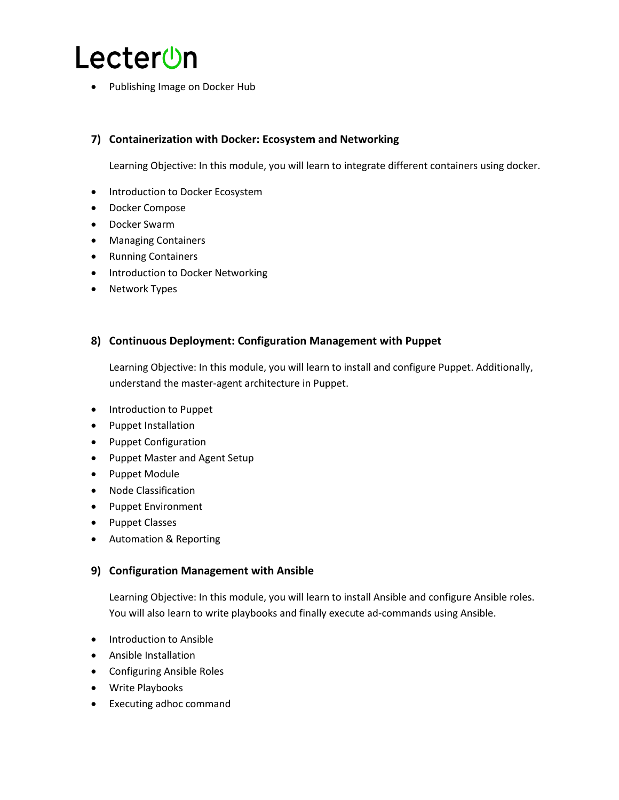Publishing Image on Docker Hub

#### **7) Containerization with Docker: Ecosystem and Networking**

Learning Objective: In this module, you will learn to integrate different containers using docker.

- Introduction to Docker Ecosystem
- Docker Compose
- Docker Swarm
- Managing Containers
- Running Containers
- Introduction to Docker Networking
- Network Types

#### **8) Continuous Deployment: Configuration Management with Puppet**

Learning Objective: In this module, you will learn to install and configure Puppet. Additionally, understand the master-agent architecture in Puppet.

- Introduction to Puppet
- Puppet Installation
- Puppet Configuration
- Puppet Master and Agent Setup
- Puppet Module
- Node Classification
- Puppet Environment
- Puppet Classes
- Automation & Reporting

#### **9) Configuration Management with Ansible**

Learning Objective: In this module, you will learn to install Ansible and configure Ansible roles. You will also learn to write playbooks and finally execute ad-commands using Ansible.

- Introduction to Ansible
- Ansible Installation
- Configuring Ansible Roles
- Write Playbooks
- Executing adhoc command